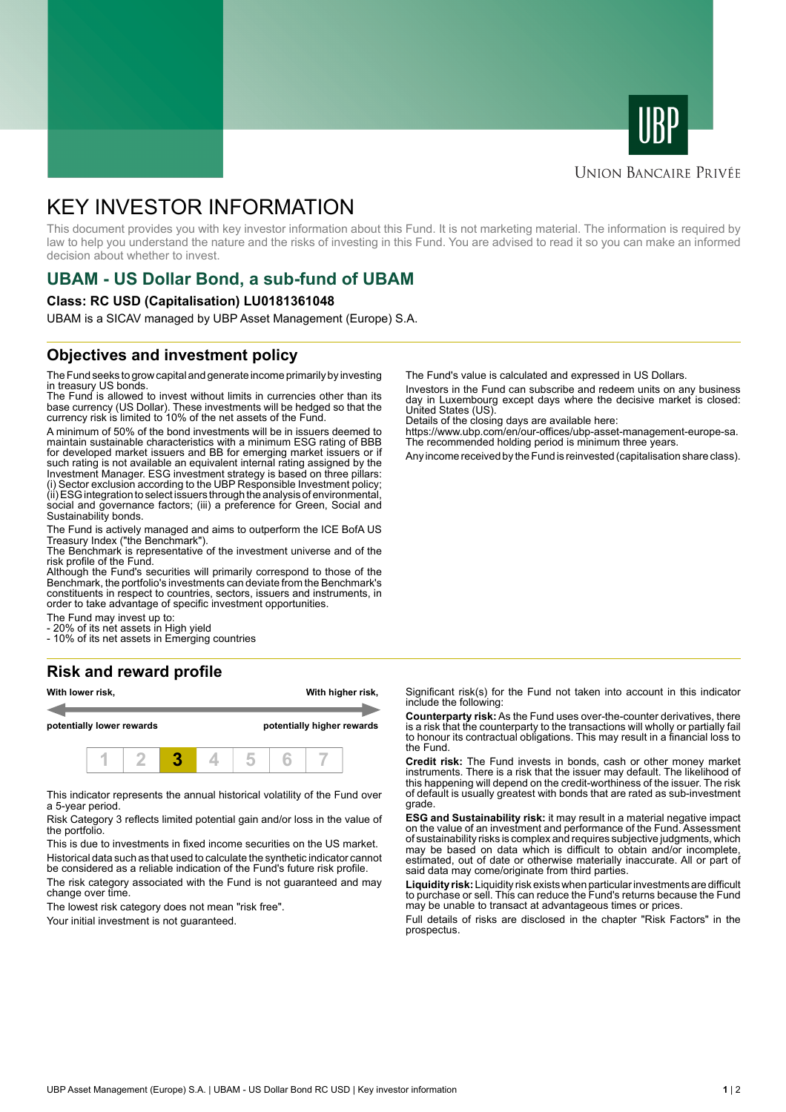



# **UNION BANCAIRE PRIVÉE**

# KEY INVESTOR INFORMATION

This document provides you with key investor information about this Fund. It is not marketing material. The information is required by law to help you understand the nature and the risks of investing in this Fund. You are advised to read it so you can make an informed decision about whether to invest.

# **UBAM - US Dollar Bond, a sub-fund of UBAM**

#### **Class: RC USD (Capitalisation) LU0181361048**

UBAM is a SICAV managed by UBP Asset Management (Europe) S.A.

# **Objectives and investment policy**

The Fund seeks to grow capital and generate income primarily by investing in treasury US bonds.

The Fund is allowed to invest without limits in currencies other than its base currency (US Dollar). These investments will be hedged so that the currency risk is limited to 10% of the net assets of the Fund.

A minimum of 50% of the bond investments will be in issuers deemed to maintain sustainable characteristics with a minimum ESG rating of BBB for developed market issuers and BB for emerging market issuers or if such rating is not available an equivalent internal rating assigned by the Investment Manager. ESG investment strategy is based on three pillars: (i) Sector exclusion according to the UBP Responsible Investment policy; (ii) ESG integration to select issuers through the analysis of environmental, social and governance factors; (iii) a preference for Green, Social and Sustainability bonds.

The Fund is actively managed and aims to outperform the ICE BofA US Treasury Index ("the Benchmark").

The Benchmark is representative of the investment universe and of the risk profile of the Fund.

Although the Fund's securities will primarily correspond to those of the Benchmark, the portfolio's investments can deviate from the Benchmark's constituents in respect to countries, sectors, issuers and instruments, in order to take advantage of specific investment opportunities.

The Fund may invest up to:

- 20% of its net assets in High yield

- 10% of its net assets in Emerging countries

# **Risk and reward profile**



This indicator represents the annual historical volatility of the Fund over a 5-year period.

Risk Category 3 reflects limited potential gain and/or loss in the value of the portfolio.

This is due to investments in fixed income securities on the US market. Historical data such as that used to calculate the synthetic indicator cannot be considered as a reliable indication of the Fund's future risk profile.

The risk category associated with the Fund is not guaranteed and may change over time.

The lowest risk category does not mean "risk free".

Your initial investment is not quaranteed.

The Fund's value is calculated and expressed in US Dollars.

Investors in the Fund can subscribe and redeem units on any business day in Luxembourg except days where the decisive market is closed: United States (US).

Details of the closing days are available here:

https://www.ubp.com/en/our-offices/ubp-asset-management-europe-sa. The recommended holding period is minimum three years.

Any income received by the Fund is reinvested (capitalisation share class).

Significant risk(s) for the Fund not taken into account in this indicator include the following:

**Counterparty risk:** As the Fund uses over-the-counter derivatives, there is a risk that the counterparty to the transactions will wholly or partially fail to honour its contractual obligations. This may result in a financial loss to the Fund.

**Credit risk:** The Fund invests in bonds, cash or other money market instruments. There is a risk that the issuer may default. The likelihood of this happening will depend on the credit-worthiness of the issuer. The risk of default is usually greatest with bonds that are rated as sub-investment grade.

**ESG and Sustainability risk:** it may result in a material negative impact on the value of an investment and performance of the Fund. Assessment of sustainability risks is complex and requires subjective judgments, which may be based on data which is difficult to obtain and/or incomplete, estimated, out of date or otherwise materially inaccurate. All or part of said data may come/originate from third parties.

**Liquidity risk:** Liquidity risk exists when particular investments are difficult to purchase or sell. This can reduce the Fund's returns because the Fund may be unable to transact at advantageous times or prices.

Full details of risks are disclosed in the chapter "Risk Factors" in the prospectus.